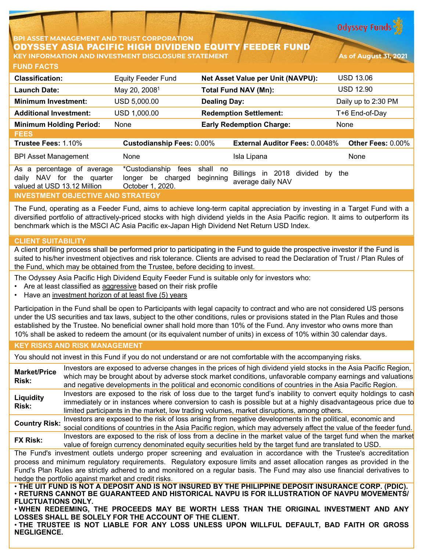**Odyssey Funds** 

## **BPI ASSET MANAGEMENT AND TRUST CORPORATION** ODYSSEY ASIA PACIFIC HIGH DIVIDEND EQUITY FEEDER FUND **KEY INFORMATION AND INVESTMENT DISCLOSURE STATEMENT And Asset the Contract of August 31, 2021**

**FUND FACTS**

| <b>Classification:</b>                                                                                          | <b>Equity Feeder Fund</b>                                             | <b>Net Asset Value per Unit (NAVPU):</b>                                           | <b>USD 13.06</b>    |
|-----------------------------------------------------------------------------------------------------------------|-----------------------------------------------------------------------|------------------------------------------------------------------------------------|---------------------|
| Launch Date:                                                                                                    | May 20, 2008 <sup>1</sup>                                             | <b>Total Fund NAV (Mn):</b>                                                        | <b>USD 12.90</b>    |
| <b>Minimum Investment:</b>                                                                                      | USD 5,000.00                                                          | <b>Dealing Day:</b>                                                                | Daily up to 2:30 PM |
| <b>Additional Investment:</b>                                                                                   | USD 1,000.00                                                          | <b>Redemption Settlement:</b>                                                      | T+6 End-of-Day      |
| <b>Minimum Holding Period:</b>                                                                                  | None                                                                  | <b>Early Redemption Charge:</b>                                                    | None                |
| <b>FEES</b>                                                                                                     |                                                                       |                                                                                    |                     |
| Trustee Fees: 1.10%                                                                                             | <b>Custodianship Fees: 0.00%</b>                                      | <b>External Auditor Fees: 0.0048%</b>                                              | Other Fees: 0.00%   |
| <b>BPI Asset Management</b>                                                                                     | None                                                                  | Isla Lipana                                                                        | None                |
| percentage of average<br>As<br>a<br>for<br><b>NAV</b><br>the<br>daily<br>quarter<br>valued at USD 13.12 Million | *Custodianship<br>fees<br>be<br>charged<br>longer<br>October 1, 2020. | shall no<br>Billings<br>in 2018<br>divided<br>by<br>beginning<br>average daily NAV | the                 |
| <b>INVESTMENT OBJECTIVE AND STRATEGY</b>                                                                        |                                                                       |                                                                                    |                     |

The Fund, operating as a Feeder Fund, aims to achieve long-term capital appreciation by investing in a Target Fund with a diversified portfolio of attractively-priced stocks with high dividend yields in the Asia Pacific region. It aims to outperform its benchmark which is the MSCI AC Asia Pacific ex-Japan High Dividend Net Return USD Index.

# **CLIENT SUITABILITY**

A client profiling process shall be performed prior to participating in the Fund to guide the prospective investor if the Fund is suited to his/her investment objectives and risk tolerance. Clients are advised to read the Declaration of Trust / Plan Rules of the Fund, which may be obtained from the Trustee, before deciding to invest.

The Odyssey Asia Pacific High Dividend Equity Feeder Fund is suitable only for investors who:

- Are at least classified as aggressive based on their risk profile
- Have an investment horizon of at least five (5) years

Participation in the Fund shall be open to Participants with legal capacity to contract and who are not considered US persons under the US securities and tax laws, subject to the other conditions, rules or provisions stated in the Plan Rules and those established by the Trustee. No beneficial owner shall hold more than 10% of the Fund. Any investor who owns more than 10% shall be asked to redeem the amount (or its equivalent number of units) in excess of 10% within 30 calendar days.

#### **KEY RISKS AND RISK MANAGEMENT**

You should not invest in this Fund if you do not understand or are not comfortable with the accompanying risks.

**Market/Price Risk:** Investors are exposed to adverse changes in the prices of high dividend yield stocks in the Asia Pacific Region, which may be brought about by adverse stock market conditions, unfavorable company earnings and valuations and negative developments in the political and economic conditions of countries in the Asia Pacific Region. **Liquidity Risk:** Investors are exposed to the risk of loss due to the target fund's inability to convert equity holdings to cash immediately or in instances where conversion to cash is possible but at a highly disadvantageous price due to limited participants in the market, low trading volumes, market disruptions, among others. **Country Risk:** Investors are exposed to the risk of loss arising from negative developments in the political, economic and social conditions of countries in the Asia Pacific region, which may adversely affect the value of the feeder fund. **FX Risk:** Investors are exposed to the risk of loss from a decline in the market value of the target fund when the market value of foreign currency denominated equity securities held by the target fund are translated to USD. The Fund's investment outlets undergo proper screening and evaluation in accordance with the Trustee's accreditation process and minimum regulatory requirements. Regulatory exposure limits and asset allocation ranges as provided in the Fund's Plan Rules are strictly adhered to and monitored on a regular basis. The Fund may also use financial derivatives to hedge the portfolio against market and credit risks. . THE UIT FUND IS NOT A DEPOSIT AND IS NOT INSURED BY THE PHILIPPINE DEPOSIT INSURANCE CORP. (PDIC). • **RETURNS CANNOT BE GUARANTEED AND HISTORICAL NAVPU IS FOR ILLUSTRATION OF NAVPU MOVEMENTS/**

**FLUCTUATIONS ONLY.** • **WHEN REDEEMING, THE PROCEEDS MAY BE WORTH LESS THAN THE ORIGINAL INVESTMENT AND ANY LOSSES SHALL BE SOLELY FOR THE ACCOUNT OF THE CLIENT.**

• **THE TRUSTEE IS NOT LIABLE FOR ANY LOSS UNLESS UPON WILLFUL DEFAULT, BAD FAITH OR GROSS NEGLIGENCE.**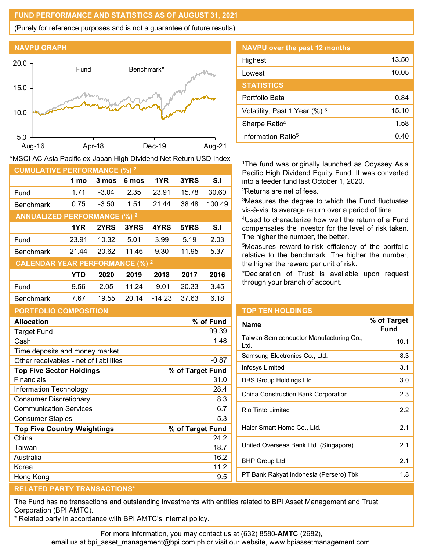## **FUND PERFORMANCE AND STATISTICS AS OF AUGUST 31, 2021**

(Purely for reference purposes and is not a guarantee of future results)





| <b>CUMULATIVE PERFORMANCE (%) 2</b>    |            |         |       |          |       |        |
|----------------------------------------|------------|---------|-------|----------|-------|--------|
|                                        | 1 mo       | 3 mos   | 6 mos | 1YR      | 3YRS  | S.I    |
| Fund                                   | 1.71       | $-3.04$ | 2.35  | 23.91    | 15.78 | 30.60  |
| <b>Benchmark</b>                       | 0.75       | $-3.50$ | 1.51  | 21.44    | 38.48 | 100.49 |
| <b>ANNUALIZED PERFORMANCE (%) 2</b>    |            |         |       |          |       |        |
|                                        | 1YR        | 2YRS    | 3YRS  | 4YRS     | 5YRS  | S.I    |
| Fund                                   | 23.91      | 10.32   | 5.01  | 3.99     | 5.19  | 2.03   |
| <b>Benchmark</b>                       | 21.44      | 20.62   | 11.46 | 9.30     | 11.95 | 5.37   |
| <b>CALENDAR YEAR PERFORMANCE (%) 2</b> |            |         |       |          |       |        |
|                                        | <b>YTD</b> | 2020    | 2019  | 2018     | 2017  | 2016   |
| Fund                                   | 9.56       | 2.05    | 11.24 | $-9.01$  | 20.33 | 3.45   |
| <b>Benchmark</b>                       | 7.67       | 19.55   | 20.14 | $-14.23$ | 37.63 | 6.18   |
|                                        |            |         |       |          |       |        |

\*MSCI AC Asia Pacific ex-Japan High Dividend Net Return USD Index

| <b>NAVPU</b> over the past 12 months |       |
|--------------------------------------|-------|
| Highest                              | 13.50 |
| Lowest                               | 10.05 |
| <b>STATISTICS</b>                    |       |
| Portfolio Beta                       | 0.84  |
| Volatility, Past 1 Year (%) 3        | 15.10 |
| Sharpe Ratio <sup>4</sup>            | 1.58  |
| Information Ratio <sup>5</sup>       | 0.40  |

<sup>1</sup>The fund was originally launched as Odyssey Asia Pacific High Dividend Equity Fund. It was converted into a feeder fund last October 1, 2020.

2Returns are net of fees.

3Measures the degree to which the Fund fluctuates vis-à-vis its average return over a period of time.

4Used to characterize how well the return of a Fund compensates the investor for the level of risk taken. The higher the number, the better.

5Measures reward-to-risk efficiency of the portfolio relative to the benchmark. The higher the number, the higher the reward per unit of risk.

\*Declaration of Trust is available upon request through your branch of account.

| PORTFOLIO COMPOSITION |  |
|-----------------------|--|
| Allocation            |  |
|                       |  |

| <b>Target Fund</b>                     | 99.39            |
|----------------------------------------|------------------|
| Cash                                   | 1.48             |
| Time deposits and money market         |                  |
| Other receivables - net of liabilities | $-0.87$          |
| <b>Top Five Sector Holdings</b>        | % of Target Fund |
| Financials                             | 31.0             |
| Information Technology                 | 28.4             |
| <b>Consumer Discretionary</b>          | 8.3              |
| <b>Communication Services</b>          | 6.7              |
| <b>Consumer Staples</b>                | 5.3              |
| <b>Top Five Country Weightings</b>     | % of Target Fund |
| China                                  | 24.2             |
| Taiwan                                 | 18.7             |
| Australia                              | 16.2             |
| Korea                                  | 11.2             |
| Hong Kong                              | 9.5              |
|                                        |                  |

# **TOP TEN HOLDINGS**

| <b>Name</b>                                     | % of Target<br><b>Fund</b> |
|-------------------------------------------------|----------------------------|
| Taiwan Semiconductor Manufacturing Co.,<br>Ltd. | 10.1                       |
| Samsung Electronics Co., Ltd.                   | 8.3                        |
| Infosys Limited                                 | 3.1                        |
| DBS Group Holdings Ltd                          | 3.0                        |
| China Construction Bank Corporation             | 2.3                        |
| Rio Tinto Limited                               | 2.2                        |
| Haier Smart Home Co., Ltd.                      | 2.1                        |
| United Overseas Bank Ltd. (Singapore)           | 2.1                        |
| <b>BHP Group Ltd</b>                            | 2.1                        |
| PT Bank Rakyat Indonesia (Persero) Tbk          | 1.8                        |

## **RELATED PARTY TRANSACTIONS\***

The Fund has no transactions and outstanding investments with entities related to BPI Asset Management and Trust Corporation (BPI AMTC).

\* Related party in accordance with BPI AMTC's internal policy.

For more information, you may contact us at (632) 8580-**AMTC** (2682),

**Allocation % of Fund**

email us at bpi\_asset\_management@bpi.com.ph or visit our website, www.bpiassetmanagement.com.